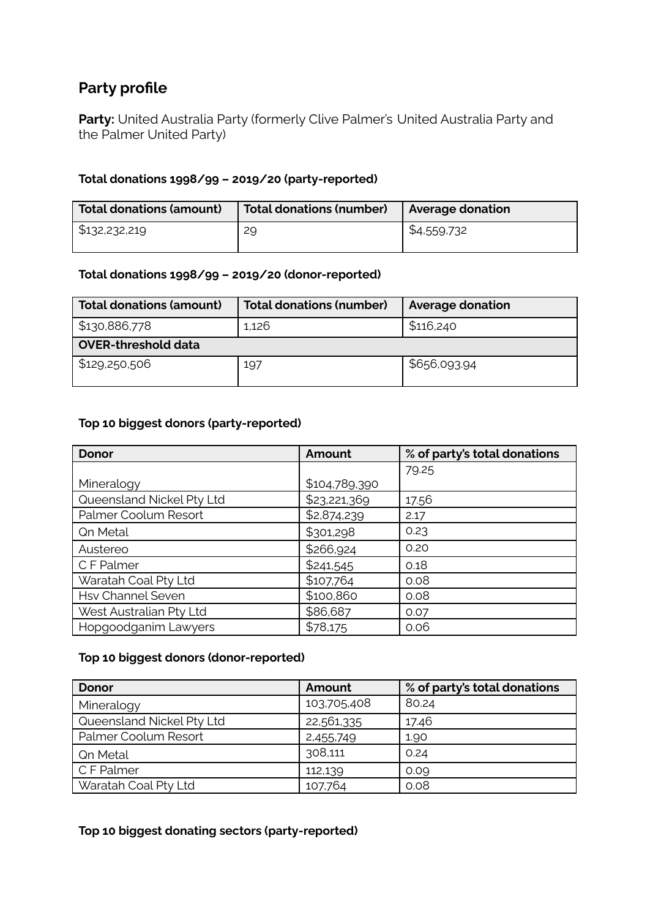# **Party profile**

**Party:** United Australia Party (formerly Clive Palmer's United Australia Party and the Palmer United Party)

#### **Total donations 1998/99 – 2019/20 (party-reported)**

| Total donations (amount) | Total donations (number) | <b>Average donation</b> |
|--------------------------|--------------------------|-------------------------|
| \$132,232,219            | 29                       | \$4,559,732             |

#### **Total donations 1998/99 – 2019/20 (donor-reported)**

| <b>Total donations (amount)</b> | <b>Total donations (number)</b> | <b>Average donation</b> |  |
|---------------------------------|---------------------------------|-------------------------|--|
| \$130,886,778                   | 1,126                           | \$116,240               |  |
| <b>OVER-threshold data</b>      |                                 |                         |  |
| \$129,250,506                   | 197                             | \$656,093.94            |  |

#### **Top 10 biggest donors (party-reported)**

| <b>Donor</b>              | Amount        | % of party's total donations |
|---------------------------|---------------|------------------------------|
|                           |               | 79.25                        |
| Mineralogy                | \$104,789,390 |                              |
| Queensland Nickel Pty Ltd | \$23,221,369  | 17.56                        |
| Palmer Coolum Resort      | \$2,874,239   | 2.17                         |
| <b>Qn Metal</b>           | \$301,298     | 0.23                         |
| Austereo                  | \$266,924     | 0.20                         |
| C F Palmer                | \$241,545     | 0.18                         |
| Waratah Coal Pty Ltd      | \$107,764     | 0.08                         |
| <b>Hsv Channel Seven</b>  | \$100,860     | 0.08                         |
| West Australian Pty Ltd   | \$86,687      | 0.07                         |
| Hopgoodganim Lawyers      | \$78,175      | 0.06                         |

### **Top 10 biggest donors (donor-reported)**

| <b>Donor</b>              | Amount      | % of party's total donations |
|---------------------------|-------------|------------------------------|
| Mineralogy                | 103,705,408 | 80.24                        |
| Queensland Nickel Pty Ltd | 22,561,335  | 17.46                        |
| Palmer Coolum Resort      | 2,455,749   | 1.90                         |
| <b>Qn Metal</b>           | 308,111     | 0.24                         |
| C F Palmer                | 112,139     | 0.09                         |
| Waratah Coal Pty Ltd      | 107,764     | 0.08                         |

### **Top 10 biggest donating sectors (party-reported)**